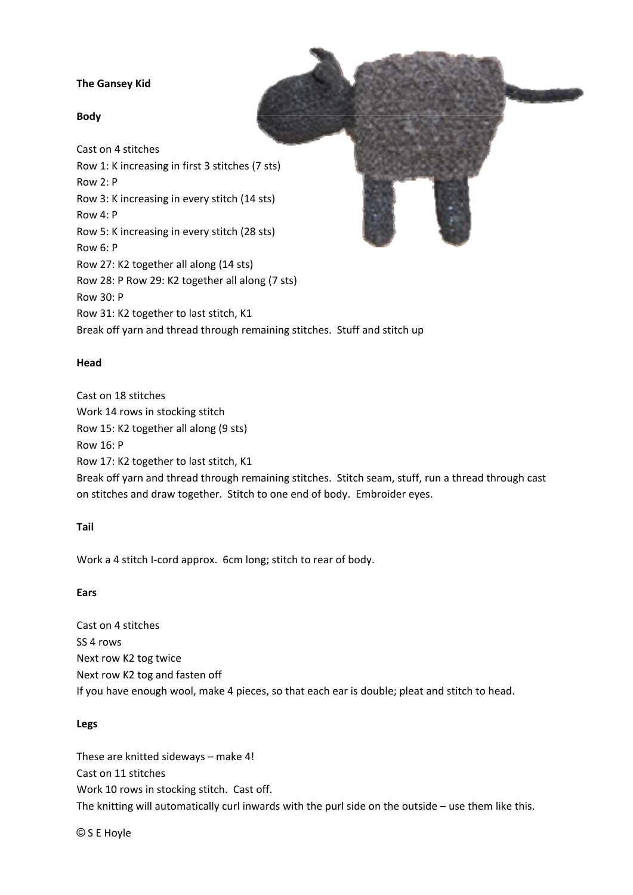# **The Gansey Kid**

## **Body**

Cast on 4 stitches Row 1: K increasing in first 3 stitches (7 sts) Row 2: P Row 3: K increasing in every stitch (14 sts) Row 4: P Row 5: K increasing in every stitch (28 sts) Row 6: P Row 27: K2 together all along (14 sts) Row 28: P Row 29: K2 together all along (7 sts) Row 30: P Row 31: K2 together to last stitch, K1 Break off yarn and thread through remaining stitches. Stuff and stitch up

## **Head**

Cast on 18 stitches Work 14 rows in stocking stitch Row 15: K2 together all along (9 sts) Row 16: P Row 17: K2 together to last stitch, K1 Break off yarn and thread through remaining stitches. Stitch seam, stuff, run a thread through cast on stitches and draw together. Stitch to one end of body. Embroider eyes.

## **Tail**

Work a 4 stitch I-cord approx. 6cm long; stitch to rear of body.

## **Ears**

Cast on 4 stitches SS 4 rows Next row K2 tog twice Next row K2 tog and fasten off If you have enough wool, make 4 pieces, so that each ear is double; pleat and stitch to head.

## **Legs**

These are knitted sideways – make 4! Cast on 11 stitches Work 10 rows in stocking stitch. Cast off. The knitting will automatically curl inwards with the purl side on the outside – use them like this.

© S E Hoyle